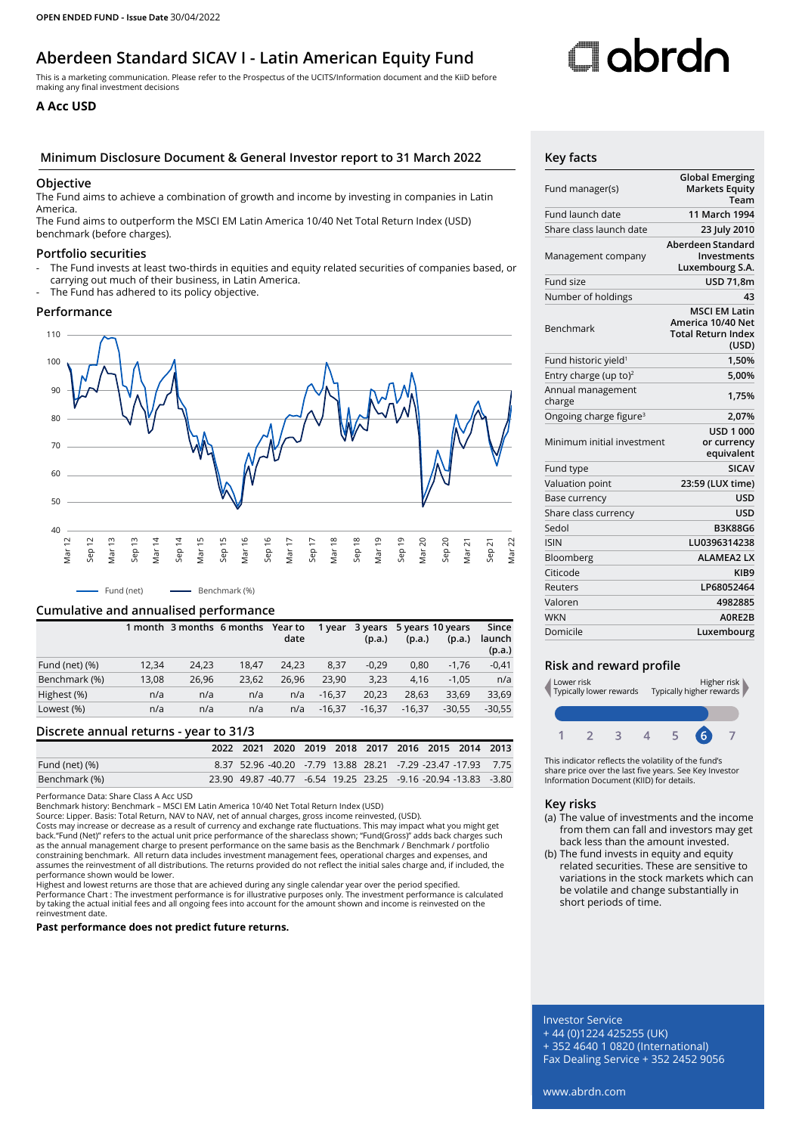# **Aberdeen Standard SICAV I - Latin American Equity Fund**

This is a marketing communication. Please refer to the Prospectus of the UCITS/Information document and the KiiD before making any final investment decisions

### **A Acc USD**

#### **Minimum Disclosure Document & General Investor report to 31 March 2022 Key facts**

#### **Objective**

The Fund aims to achieve a combination of growth and income by investing in companies in Latin America.

The Fund aims to outperform the MSCI EM Latin America 10/40 Net Total Return Index (USD) benchmark (before charges).

#### **Portfolio securities**

- The Fund invests at least two-thirds in equities and equity related securities of companies based, or carrying out much of their business, in Latin America.
- The Fund has adhered to its policy objective.

#### **Performance**



#### **Cumulative and annualised performance**

|                   |       | 1 month 3 months 6 months |       | Year to<br>date | 1 year   | (p.a.)   | (p.a.)   | 3 years 5 years 10 years<br>(p.a.) | Since<br>launch<br>(p.a.) |
|-------------------|-------|---------------------------|-------|-----------------|----------|----------|----------|------------------------------------|---------------------------|
| Fund (net) $(\%)$ | 12.34 | 24.23                     | 18.47 | 24.23           | 8.37     | $-0,29$  | 0.80     | $-1.76$                            | $-0,41$                   |
| Benchmark (%)     | 13,08 | 26,96                     | 23.62 | 26.96           | 23.90    | 3,23     | 4.16     | $-1.05$                            | n/a                       |
| Highest (%)       | n/a   | n/a                       | n/a   | n/a             | $-16.37$ | 20.23    | 28.63    | 33.69                              | 33,69                     |
| Lowest (%)        | n/a   | n/a                       | n/a   | n/a             | $-16.37$ | $-16.37$ | $-16.37$ | $-30.55$                           | $-30.55$                  |

#### **Discrete annual returns - year to 31/3**

|                |  | 2022 2021 2020 2019 2018 2017 2016 2015 2014 2013              |  |  |  |  |
|----------------|--|----------------------------------------------------------------|--|--|--|--|
| Fund (net) (%) |  | 8.37 52.96 -40.20 -7.79 13.88 28.21 -7.29 -23.47 -17.93 7.75   |  |  |  |  |
| Benchmark (%)  |  | 23.90 49.87 -40.77 -6.54 19.25 23.25 -9.16 -20.94 -13.83 -3.80 |  |  |  |  |

Performance Data: Share Class A Acc USD

Benchmark history: Benchmark – MSCI EM Latin America 10/40 Net Total Return Index (USD)

Source: Lipper. Basis: Total Return, NAV to NAV, net of annual charges, gross income reinvested, (USD).

Costs may increase or decrease as a result of currency and exchange rate fluctuations. This may impact what you might get<br>back."Fund (Net)" refers to the actual unit price performance of the shareclass shown; "Fund(Gross)" as the annual management charge to present performance on the same basis as the Benchmark / Benchmark / portfolio constraining benchmark. All return data includes investment management fees, operational charges and expenses, and assumes the reinvestment of all distributions. The returns provided do not reflect the initial sales charge and, if included, the performance shown would be lower.

Highest and lowest returns are those that are achieved during any single calendar year over the period specified. Performance Chart : The investment performance is for illustrative purposes only. The investment performance is calculated<br>by taking the actual initial fees and all ongoing fees into account for the amount shown and income reinvestment date.

**Past performance does not predict future returns.**

# **C**lobrdn

| Fund manager(s)                    | <b>Global Emerging</b><br><b>Markets Equity</b><br>Team                         |
|------------------------------------|---------------------------------------------------------------------------------|
| Fund launch date                   | 11 March 1994                                                                   |
| Share class launch date            | 23 July 2010                                                                    |
| Management company                 | Aberdeen Standard<br>Investments<br>Luxembourg S.A.                             |
| Fund size                          | USD 71,8m                                                                       |
| Number of holdings                 | 43                                                                              |
| Benchmark                          | <b>MSCI EM Latin</b><br>America 10/40 Net<br><b>Total Return Index</b><br>(USD) |
| Fund historic yield <sup>1</sup>   | 1,50%                                                                           |
| Entry charge (up to) <sup>2</sup>  | 5,00%                                                                           |
| Annual management<br>charge        | 1.75%                                                                           |
| Ongoing charge figure <sup>3</sup> | 2,07%                                                                           |
| Minimum initial investment         | <b>USD 1 000</b><br>or currency<br>equivalent                                   |
| Fund type                          | <b>SICAV</b>                                                                    |
| Valuation point                    | 23:59 (LUX time)                                                                |
| Base currency                      | <b>USD</b>                                                                      |
| Share class currency               | USD                                                                             |
| Sedol                              | <b>B3K88G6</b>                                                                  |
| <b>ISIN</b>                        | LU0396314238                                                                    |
| Bloomberg                          | <b>ALAMEA2 LX</b>                                                               |
| Citicode                           | KIB9                                                                            |
| Reuters                            | LP68052464                                                                      |
| Valoren                            | 4982885                                                                         |
| <b>WKN</b>                         | A0RF2B                                                                          |
| Domicile                           | Luxembourg                                                                      |
|                                    |                                                                                 |

#### **Risk and reward profile**



This indicator reflects the volatility of the fund's share price over the last five years. See Key Investor Information Document (KIID) for details.

#### **Key risks**

- (a) The value of investments and the income from them can fall and investors may get back less than the amount invested.
- (b) The fund invests in equity and equity related securities. These are sensitive to variations in the stock markets which can be volatile and change substantially in short periods of time.

## Investor Service

+ 44 (0)1224 425255 (UK) + 352 4640 1 0820 (International)

Fax Dealing Service + 352 2452 9056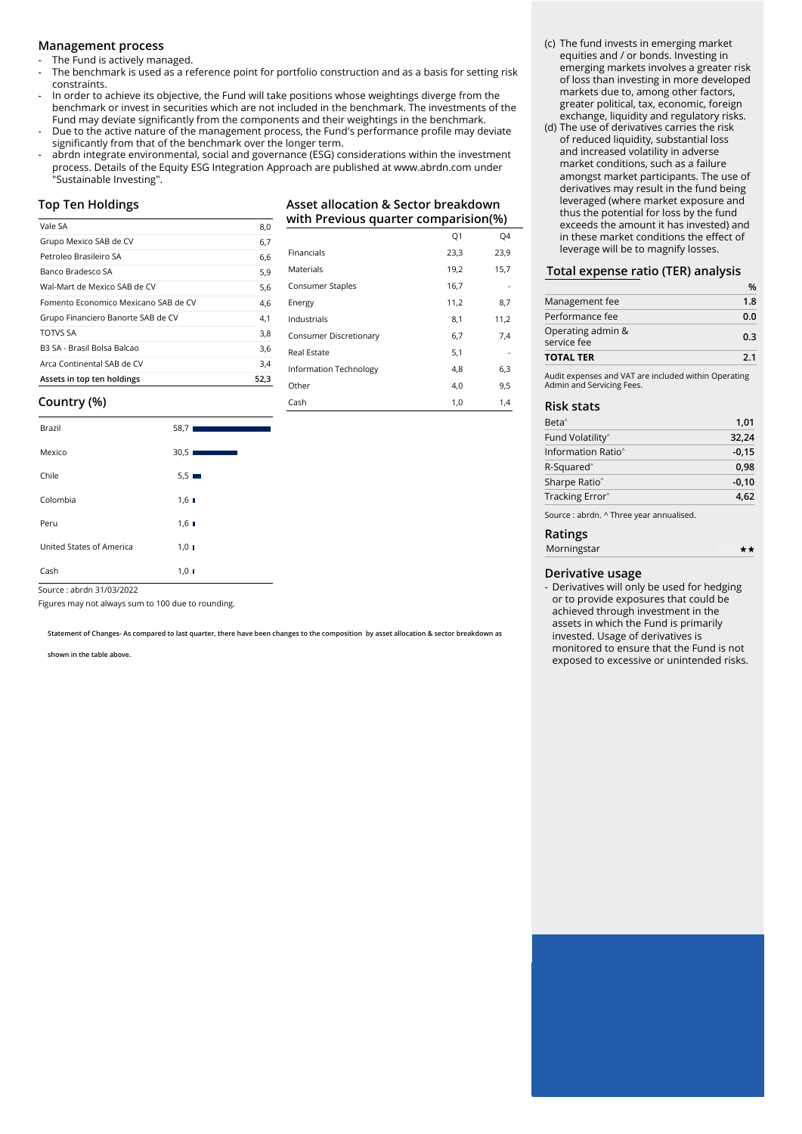#### **Management process**

The Fund is actively managed.

- The benchmark is used as a reference point for portfolio construction and as a basis for setting risk constraints.
- In order to achieve its objective, the Fund will take positions whose weightings diverge from the benchmark or invest in securities which are not included in the benchmark. The investments of the Fund may deviate significantly from the components and their weightings in the benchmark.
- Due to the active nature of the management process, the Fund's performance profile may deviate significantly from that of the benchmark over the longer term.
- abrdn integrate environmental, social and governance (ESG) considerations within the investment process. Details of the Equity ESG Integration Approach are published at www.abrdn.com under "Sustainable Investing".

#### **Top Ten Holdings**

| Vale SA                              | 8,0  |
|--------------------------------------|------|
| Grupo Mexico SAB de CV               | 6,7  |
| Petroleo Brasileiro SA               | 6,6  |
| Banco Bradesco SA                    | 5,9  |
| Wal-Mart de Mexico SAB de CV         | 5,6  |
| Fomento Economico Mexicano SAB de CV | 4,6  |
| Grupo Financiero Banorte SAB de CV   | 4,1  |
| <b>TOTVS SA</b>                      | 3,8  |
| B3 SA - Brasil Bolsa Balcao          | 3.6  |
| Arca Continental SAB de CV           | 3,4  |
| Assets in top ten holdings           | 52.3 |

**Asset allocation & Sector breakdown with Previous quarter comparision(%)**

|                        | Q <sub>1</sub> | Q4   |
|------------------------|----------------|------|
| Financials             | 23,3           | 23,9 |
| Materials              | 19,2           | 15,7 |
| Consumer Staples       | 16,7           |      |
| Energy                 | 11,2           | 8,7  |
| Industrials            | 8,1            | 11,2 |
| Consumer Discretionary | 6,7            | 7,4  |
| <b>Real Estate</b>     | 5,1            |      |
| Information Technology | 4,8            | 6,3  |
| Other                  | 4,0            | 9,5  |
| Cash                   | 1,0            | 1,4  |

#### **Country (%)**

| Brazil                   | 58,71<br>$\mathcal{L}^{\text{max}}_{\text{max}}$ and $\mathcal{L}^{\text{max}}_{\text{max}}$ and $\mathcal{L}^{\text{max}}_{\text{max}}$ |
|--------------------------|------------------------------------------------------------------------------------------------------------------------------------------|
| Mexico                   | 30,5                                                                                                                                     |
| Chile                    | $5.5 \equiv$                                                                                                                             |
| Colombia                 | $1,6$ $\blacksquare$                                                                                                                     |
| Peru                     | $1,6$ $\blacksquare$                                                                                                                     |
| United States of America | $1,0$ I                                                                                                                                  |
| Cash                     | $1,0$ I                                                                                                                                  |

Source : abrdn 31/03/2022

Figures may not always sum to 100 due to rounding.

**Statement of Changes- As compared to last quarter, there have been changes to the composition by asset allocation & sector breakdown as** 

**shown in the table above.**

- (c) The fund invests in emerging market equities and / or bonds. Investing in emerging markets involves a greater risk of loss than investing in more developed markets due to, among other factors, greater political, tax, economic, foreign exchange, liquidity and regulatory risks.
- (d) The use of derivatives carries the risk of reduced liquidity, substantial loss and increased volatility in adverse market conditions, such as a failure amongst market participants. The use of derivatives may result in the fund being leveraged (where market exposure and thus the potential for loss by the fund exceeds the amount it has invested) and in these market conditions the effect of leverage will be to magnify losses.

#### **Total expense ratio (TER) analysis**

|                                                                                   | %<br>1.8 |  |
|-----------------------------------------------------------------------------------|----------|--|
| Management fee                                                                    |          |  |
| Performance fee                                                                   | 0.0      |  |
| Operating admin &<br>service fee                                                  | 0.3      |  |
| 2.1<br><b>TOTAL TER</b>                                                           |          |  |
| Audit expenses and VAT are included within Operating<br>Admin and Servicing Fees. |          |  |

#### **Risk stats**

| Beta <sup>^</sup>                        | 1,01    |
|------------------------------------------|---------|
| Fund Volatility <sup>^</sup>             | 32,24   |
| Information Ratio <sup>^</sup>           | $-0,15$ |
| R-Squared <sup>^</sup>                   | 0.98    |
| Sharpe Ratio <sup>^</sup>                | $-0,10$ |
| Tracking Error <sup>^</sup>              | 4,62    |
| Source : abrdn. ^ Three year annualised. |         |

#### **Ratings**

| .           |    |
|-------------|----|
| Morningstar | ** |
|             |    |

#### **Derivative usage**

- Derivatives will only be used for hedging or to provide exposures that could be achieved through investment in the assets in which the Fund is primarily invested. Usage of derivatives is monitored to ensure that the Fund is not exposed to excessive or unintended risks.